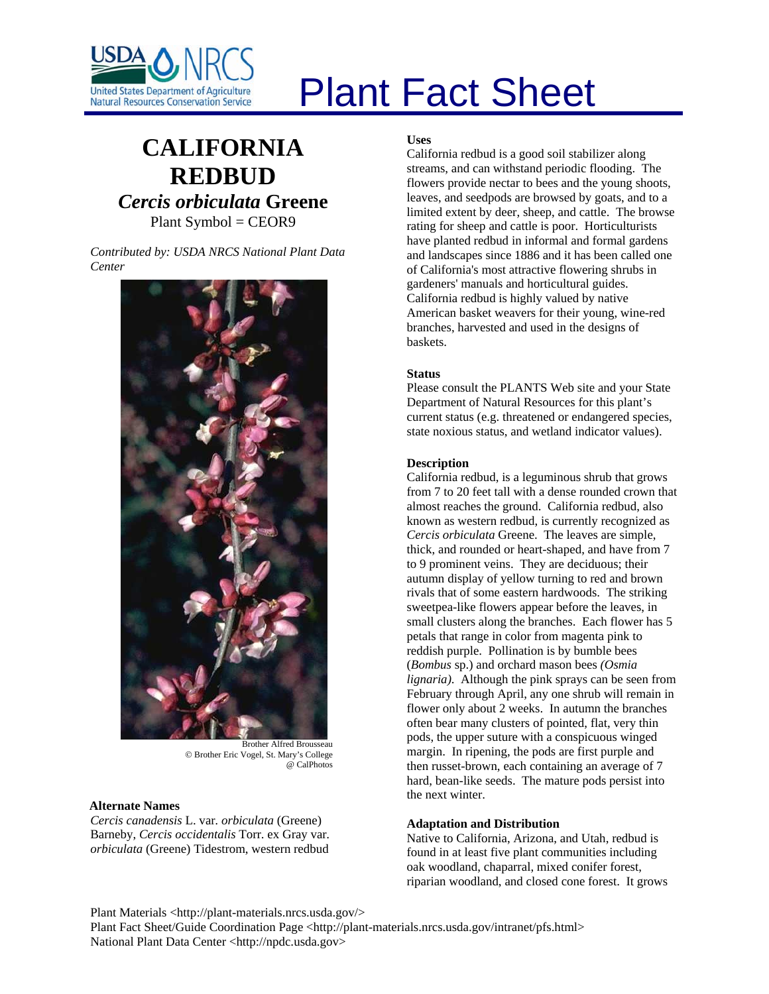

# Plant Fact Sheet

# **CALIFORNIA REDBUD** *Cercis orbiculata* **Greene** Plant Symbol = CEOR9

*Contributed by: USDA NRCS National Plant Data Center* 



Brother Alfred Brousseau © Brother Eric Vogel, St. Mary's College @ CalPhotos

### **Alternate Names**

*Cercis canadensis* L. var*. orbiculata* (Greene) Barneby, *Cercis occidentalis* Torr. ex Gray var*. orbiculata* (Greene) Tidestrom, western redbud

#### **Uses**

California redbud is a good soil stabilizer along streams, and can withstand periodic flooding. The flowers provide nectar to bees and the young shoots, leaves, and seedpods are browsed by goats, and to a limited extent by deer, sheep, and cattle. The browse rating for sheep and cattle is poor. Horticulturists have planted redbud in informal and formal gardens and landscapes since 1886 and it has been called one of California's most attractive flowering shrubs in gardeners' manuals and horticultural guides. California redbud is highly valued by native American basket weavers for their young, wine-red branches, harvested and used in the designs of baskets.

#### **Status**

Please consult the PLANTS Web site and your State Department of Natural Resources for this plant's current status (e.g. threatened or endangered species, state noxious status, and wetland indicator values).

## **Description**

California redbud, is a leguminous shrub that grows from 7 to 20 feet tall with a dense rounded crown that almost reaches the ground. California redbud, also known as western redbud, is currently recognized as *Cercis orbiculata* Greene. The leaves are simple, thick, and rounded or heart-shaped, and have from 7 to 9 prominent veins. They are deciduous; their autumn display of yellow turning to red and brown rivals that of some eastern hardwoods. The striking sweetpea-like flowers appear before the leaves, in small clusters along the branches. Each flower has 5 petals that range in color from magenta pink to reddish purple. Pollination is by bumble bees (*Bombus* sp.) and orchard mason bees *(Osmia lignaria)*. Although the pink sprays can be seen from February through April, any one shrub will remain in flower only about 2 weeks. In autumn the branches often bear many clusters of pointed, flat, very thin pods, the upper suture with a conspicuous winged margin. In ripening, the pods are first purple and then russet-brown, each containing an average of 7 hard, bean-like seeds. The mature pods persist into the next winter.

#### **Adaptation and Distribution**

Native to California, Arizona, and Utah, redbud is found in at least five plant communities including oak woodland, chaparral, mixed conifer forest, riparian woodland, and closed cone forest. It grows

Plant Materials <http://plant-materials.nrcs.usda.gov/>

Plant Fact Sheet/Guide Coordination Page <http://plant-materials.nrcs.usda.gov/intranet/pfs.html> National Plant Data Center <http://npdc.usda.gov>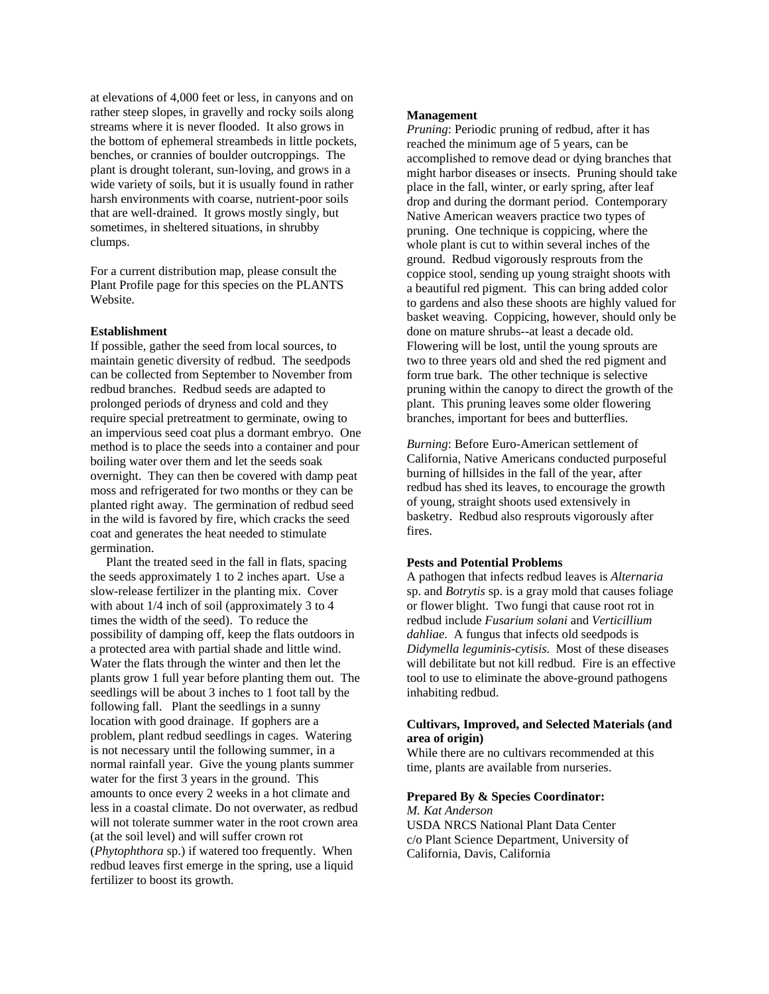at elevations of 4,000 feet or less, in canyons and on rather steep slopes, in gravelly and rocky soils along streams where it is never flooded. It also grows in the bottom of ephemeral streambeds in little pockets, benches, or crannies of boulder outcroppings. The plant is drought tolerant, sun-loving, and grows in a wide variety of soils, but it is usually found in rather harsh environments with coarse, nutrient-poor soils that are well-drained. It grows mostly singly, but sometimes, in sheltered situations, in shrubby clumps.

For a current distribution map, please consult the Plant Profile page for this species on the PLANTS Website.

#### **Establishment**

If possible, gather the seed from local sources, to maintain genetic diversity of redbud. The seedpods can be collected from September to November from redbud branches. Redbud seeds are adapted to prolonged periods of dryness and cold and they require special pretreatment to germinate, owing to an impervious seed coat plus a dormant embryo. One method is to place the seeds into a container and pour boiling water over them and let the seeds soak overnight. They can then be covered with damp peat moss and refrigerated for two months or they can be planted right away. The germination of redbud seed in the wild is favored by fire, which cracks the seed coat and generates the heat needed to stimulate germination.

 Plant the treated seed in the fall in flats, spacing the seeds approximately 1 to 2 inches apart. Use a slow-release fertilizer in the planting mix. Cover with about 1/4 inch of soil (approximately 3 to 4 times the width of the seed). To reduce the possibility of damping off, keep the flats outdoors in a protected area with partial shade and little wind. Water the flats through the winter and then let the plants grow 1 full year before planting them out. The seedlings will be about 3 inches to 1 foot tall by the following fall. Plant the seedlings in a sunny location with good drainage. If gophers are a problem, plant redbud seedlings in cages. Watering is not necessary until the following summer, in a normal rainfall year. Give the young plants summer water for the first 3 years in the ground. This amounts to once every 2 weeks in a hot climate and less in a coastal climate. Do not overwater, as redbud will not tolerate summer water in the root crown area (at the soil level) and will suffer crown rot (*Phytophthora* sp.) if watered too frequently. When redbud leaves first emerge in the spring, use a liquid fertilizer to boost its growth.

#### **Management**

*Pruning*: Periodic pruning of redbud, after it has reached the minimum age of 5 years, can be accomplished to remove dead or dying branches that might harbor diseases or insects. Pruning should take place in the fall, winter, or early spring, after leaf drop and during the dormant period. Contemporary Native American weavers practice two types of pruning. One technique is coppicing, where the whole plant is cut to within several inches of the ground. Redbud vigorously resprouts from the coppice stool, sending up young straight shoots with a beautiful red pigment. This can bring added color to gardens and also these shoots are highly valued for basket weaving. Coppicing, however, should only be done on mature shrubs--at least a decade old. Flowering will be lost, until the young sprouts are two to three years old and shed the red pigment and form true bark. The other technique is selective pruning within the canopy to direct the growth of the plant. This pruning leaves some older flowering branches, important for bees and butterflies.

*Burning*: Before Euro-American settlement of California, Native Americans conducted purposeful burning of hillsides in the fall of the year, after redbud has shed its leaves, to encourage the growth of young, straight shoots used extensively in basketry. Redbud also resprouts vigorously after fires.

#### **Pests and Potential Problems**

A pathogen that infects redbud leaves is *Alternaria* sp. and *Botrytis* sp. is a gray mold that causes foliage or flower blight. Two fungi that cause root rot in redbud include *Fusarium solani* and *Verticillium dahliae.* A fungus that infects old seedpods is *Didymella leguminis-cytisis*. Most of these diseases will debilitate but not kill redbud. Fire is an effective tool to use to eliminate the above-ground pathogens inhabiting redbud.

#### **Cultivars, Improved, and Selected Materials (and area of origin)**

While there are no cultivars recommended at this time, plants are available from nurseries.

#### **Prepared By & Species Coordinator:**

*M. Kat Anderson*  USDA NRCS National Plant Data Center c/o Plant Science Department, University of California, Davis, California